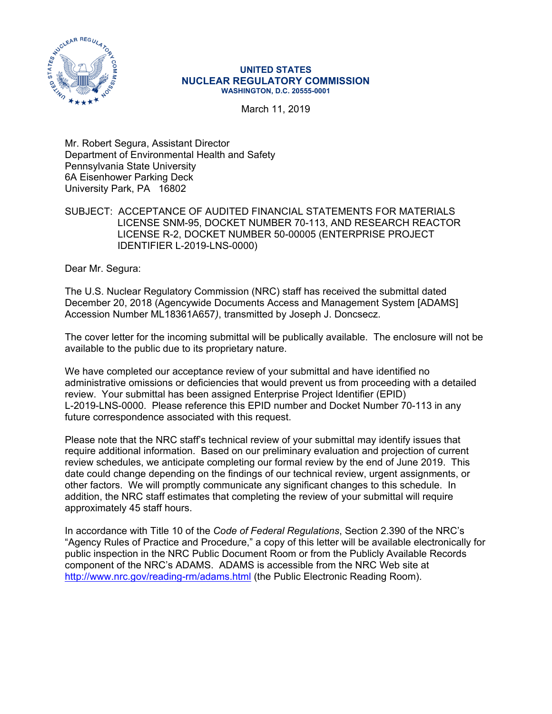

#### **UNITED STATES NUCLEAR REGULATORY COMMISSION WASHINGTON, D.C. 20555-0001**

March 11, 2019

Mr. Robert Segura, Assistant Director Department of Environmental Health and Safety Pennsylvania State University 6A Eisenhower Parking Deck University Park, PA 16802

## SUBJECT: ACCEPTANCE OF AUDITED FINANCIAL STATEMENTS FOR MATERIALS LICENSE SNM-95, DOCKET NUMBER 70-113, AND RESEARCH REACTOR LICENSE R-2, DOCKET NUMBER 50-00005 (ENTERPRISE PROJECT IDENTIFIER L-2019-LNS-0000)

Dear Mr. Segura:

The U.S. Nuclear Regulatory Commission (NRC) staff has received the submittal dated December 20, 2018 (Agencywide Documents Access and Management System [ADAMS] Accession Number ML18361A657*)*, transmitted by Joseph J. Doncsecz.

The cover letter for the incoming submittal will be publically available. The enclosure will not be available to the public due to its proprietary nature.

We have completed our acceptance review of your submittal and have identified no administrative omissions or deficiencies that would prevent us from proceeding with a detailed review. Your submittal has been assigned Enterprise Project Identifier (EPID) L-2019-LNS-0000. Please reference this EPID number and Docket Number 70-113 in any future correspondence associated with this request.

Please note that the NRC staff's technical review of your submittal may identify issues that require additional information. Based on our preliminary evaluation and projection of current review schedules, we anticipate completing our formal review by the end of June 2019. This date could change depending on the findings of our technical review, urgent assignments, or other factors. We will promptly communicate any significant changes to this schedule. In addition, the NRC staff estimates that completing the review of your submittal will require approximately 45 staff hours.

In accordance with Title 10 of the *Code of Federal Regulations*, Section 2.390 of the NRC's "Agency Rules of Practice and Procedure," a copy of this letter will be available electronically for public inspection in the NRC Public Document Room or from the Publicly Available Records component of the NRC's ADAMS. ADAMS is accessible from the NRC Web site at http://www.nrc.gov/reading-rm/adams.html (the Public Electronic Reading Room).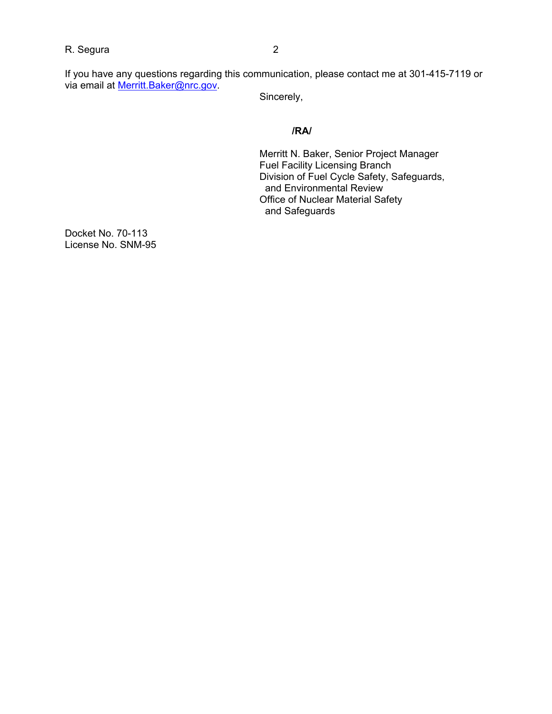R. Segura 2

If you have any questions regarding this communication, please contact me at 301-415-7119 or via email at Merritt.Baker@nrc.gov.

Sincerely,

# **/RA/**

Merritt N. Baker, Senior Project Manager Fuel Facility Licensing Branch Division of Fuel Cycle Safety, Safeguards, and Environmental Review Office of Nuclear Material Safety and Safeguards

Docket No. 70-113 License No. SNM-95